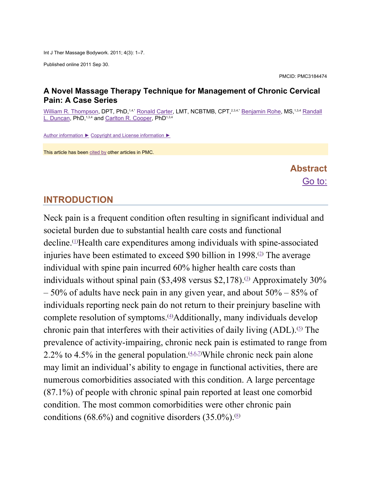Int J Ther Massage Bodywork. 2011; 4(3): 1–7.

Published online 2011 Sep 30.

PMCID: PMC3184474

#### **A Novel Massage Therapy Technique for Management of Chronic Cervical Pain: A Case Series**

William R. Thompson, DPT, PhD,<sup>1,4,\*</sup> Ronald Carter, LMT, NCBTMB, CPT,<sup>2,3,4,\*</sup> Benjamin Rohe, MS,<sup>1,3,4</sup> Randall L. Duncan, PhD,<sup>1,3,4</sup> and Carlton R. Cooper, PhD<sup>1,3,4</sup>

Author information ► Copyright and License information ►

This article has been cited by other articles in PMC.

# **Abstract**  Go to:

#### **INTRODUCTION**

Neck pain is a frequent condition often resulting in significant individual and societal burden due to substantial health care costs and functional decline.(1) Health care expenditures among individuals with spine-associated injuries have been estimated to exceed \$90 billion in 1998.(2) The average individual with spine pain incurred 60% higher health care costs than individuals without spinal pain  $(\$3,498$  versus  $\$2,178$ ).<sup>(3)</sup> Approximately 30%  $-50\%$  of adults have neck pain in any given year, and about  $50\% - 85\%$  of individuals reporting neck pain do not return to their preinjury baseline with complete resolution of symptoms.(4) Additionally, many individuals develop chronic pain that interferes with their activities of daily living  $(ADL)$ .  $\circ$  The prevalence of activity-impairing, chronic neck pain is estimated to range from 2.2% to 4.5% in the general population.  $(4.6.7)$ While chronic neck pain alone may limit an individual's ability to engage in functional activities, there are numerous comorbidities associated with this condition. A large percentage (87.1%) of people with chronic spinal pain reported at least one comorbid condition. The most common comorbidities were other chronic pain conditions (68.6%) and cognitive disorders (35.0%).<sup>(8)</sup>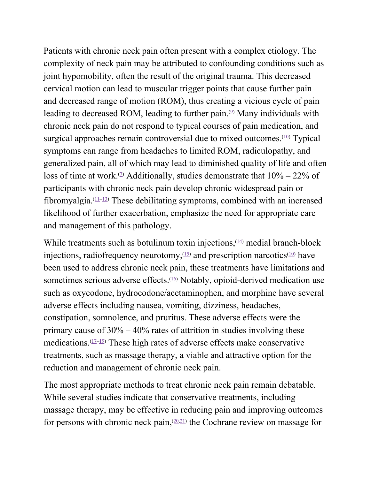Patients with chronic neck pain often present with a complex etiology. The complexity of neck pain may be attributed to confounding conditions such as joint hypomobility, often the result of the original trauma. This decreased cervical motion can lead to muscular trigger points that cause further pain and decreased range of motion (ROM), thus creating a vicious cycle of pain leading to decreased ROM, leading to further pain.<sup>(2)</sup> Many individuals with chronic neck pain do not respond to typical courses of pain medication, and surgical approaches remain controversial due to mixed outcomes.<sup>(10)</sup> Typical symptoms can range from headaches to limited ROM, radiculopathy, and generalized pain, all of which may lead to diminished quality of life and often loss of time at work.<sup>(2)</sup> Additionally, studies demonstrate that  $10\% - 22\%$  of participants with chronic neck pain develop chronic widespread pain or fibromyalgia.(11–13) These debilitating symptoms, combined with an increased likelihood of further exacerbation, emphasize the need for appropriate care and management of this pathology.

While treatments such as botulinum toxin injections,  $(14)$  medial branch-block injections, radiofrequency neurotomy,  $(15)$  and prescription narcotics  $(10)$  have been used to address chronic neck pain, these treatments have limitations and sometimes serious adverse effects.<sup>(16)</sup> Notably, opioid-derived medication use such as oxycodone, hydrocodone/acetaminophen, and morphine have several adverse effects including nausea, vomiting, dizziness, headaches, constipation, somnolence, and pruritus. These adverse effects were the primary cause of  $30\% - 40\%$  rates of attrition in studies involving these medications.<sup>(17–19)</sup> These high rates of adverse effects make conservative treatments, such as massage therapy, a viable and attractive option for the reduction and management of chronic neck pain.

The most appropriate methods to treat chronic neck pain remain debatable. While several studies indicate that conservative treatments, including massage therapy, may be effective in reducing pain and improving outcomes for persons with chronic neck pain,  $(20,21)$  the Cochrane review on massage for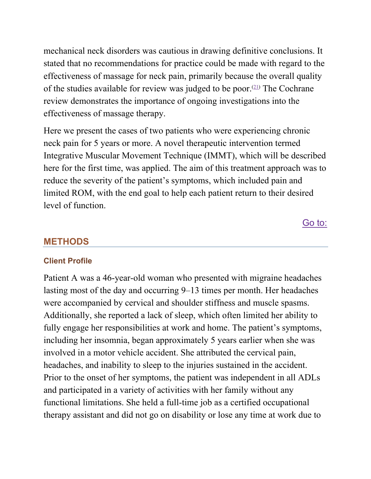mechanical neck disorders was cautious in drawing definitive conclusions. It stated that no recommendations for practice could be made with regard to the effectiveness of massage for neck pain, primarily because the overall quality of the studies available for review was judged to be poor.(21) The Cochrane review demonstrates the importance of ongoing investigations into the effectiveness of massage therapy.

Here we present the cases of two patients who were experiencing chronic neck pain for 5 years or more. A novel therapeutic intervention termed Integrative Muscular Movement Technique (IMMT), which will be described here for the first time, was applied. The aim of this treatment approach was to reduce the severity of the patient's symptoms, which included pain and limited ROM, with the end goal to help each patient return to their desired level of function.

Go to:

### **METHODS**

#### **Client Profile**

Patient A was a 46-year-old woman who presented with migraine headaches lasting most of the day and occurring 9–13 times per month. Her headaches were accompanied by cervical and shoulder stiffness and muscle spasms. Additionally, she reported a lack of sleep, which often limited her ability to fully engage her responsibilities at work and home. The patient's symptoms, including her insomnia, began approximately 5 years earlier when she was involved in a motor vehicle accident. She attributed the cervical pain, headaches, and inability to sleep to the injuries sustained in the accident. Prior to the onset of her symptoms, the patient was independent in all ADLs and participated in a variety of activities with her family without any functional limitations. She held a full-time job as a certified occupational therapy assistant and did not go on disability or lose any time at work due to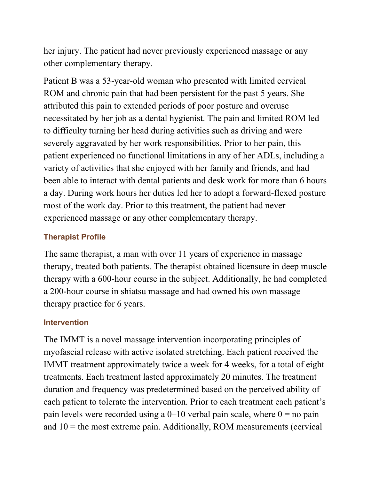her injury. The patient had never previously experienced massage or any other complementary therapy.

Patient B was a 53-year-old woman who presented with limited cervical ROM and chronic pain that had been persistent for the past 5 years. She attributed this pain to extended periods of poor posture and overuse necessitated by her job as a dental hygienist. The pain and limited ROM led to difficulty turning her head during activities such as driving and were severely aggravated by her work responsibilities. Prior to her pain, this patient experienced no functional limitations in any of her ADLs, including a variety of activities that she enjoyed with her family and friends, and had been able to interact with dental patients and desk work for more than 6 hours a day. During work hours her duties led her to adopt a forward-flexed posture most of the work day. Prior to this treatment, the patient had never experienced massage or any other complementary therapy.

#### **Therapist Profile**

The same therapist, a man with over 11 years of experience in massage therapy, treated both patients. The therapist obtained licensure in deep muscle therapy with a 600-hour course in the subject. Additionally, he had completed a 200-hour course in shiatsu massage and had owned his own massage therapy practice for 6 years.

#### **Intervention**

The IMMT is a novel massage intervention incorporating principles of myofascial release with active isolated stretching. Each patient received the IMMT treatment approximately twice a week for 4 weeks, for a total of eight treatments. Each treatment lasted approximately 20 minutes. The treatment duration and frequency was predetermined based on the perceived ability of each patient to tolerate the intervention. Prior to each treatment each patient's pain levels were recorded using a  $0-10$  verbal pain scale, where  $0 =$  no pain and  $10$  = the most extreme pain. Additionally, ROM measurements (cervical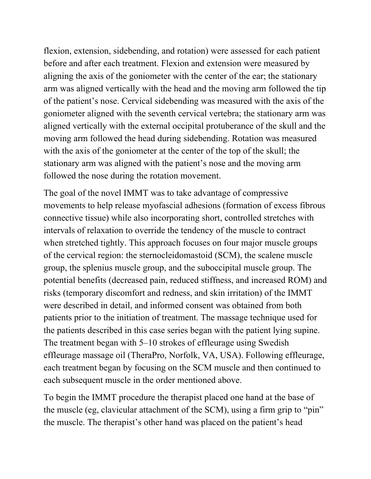flexion, extension, sidebending, and rotation) were assessed for each patient before and after each treatment. Flexion and extension were measured by aligning the axis of the goniometer with the center of the ear; the stationary arm was aligned vertically with the head and the moving arm followed the tip of the patient's nose. Cervical sidebending was measured with the axis of the goniometer aligned with the seventh cervical vertebra; the stationary arm was aligned vertically with the external occipital protuberance of the skull and the moving arm followed the head during sidebending. Rotation was measured with the axis of the goniometer at the center of the top of the skull; the stationary arm was aligned with the patient's nose and the moving arm followed the nose during the rotation movement.

The goal of the novel IMMT was to take advantage of compressive movements to help release myofascial adhesions (formation of excess fibrous connective tissue) while also incorporating short, controlled stretches with intervals of relaxation to override the tendency of the muscle to contract when stretched tightly. This approach focuses on four major muscle groups of the cervical region: the sternocleidomastoid (SCM), the scalene muscle group, the splenius muscle group, and the suboccipital muscle group. The potential benefits (decreased pain, reduced stiffness, and increased ROM) and risks (temporary discomfort and redness, and skin irritation) of the IMMT were described in detail, and informed consent was obtained from both patients prior to the initiation of treatment. The massage technique used for the patients described in this case series began with the patient lying supine. The treatment began with 5–10 strokes of effleurage using Swedish effleurage massage oil (TheraPro, Norfolk, VA, USA). Following effleurage, each treatment began by focusing on the SCM muscle and then continued to each subsequent muscle in the order mentioned above.

To begin the IMMT procedure the therapist placed one hand at the base of the muscle (eg, clavicular attachment of the SCM), using a firm grip to "pin" the muscle. The therapist's other hand was placed on the patient's head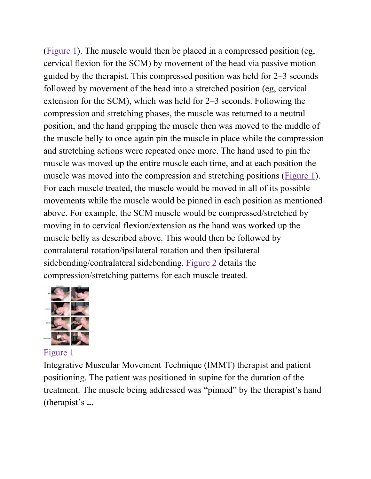(Figure 1). The muscle would then be placed in a compressed position (eg, cervical flexion for the SCM) by movement of the head via passive motion guided by the therapist. This compressed position was held for 2–3 seconds followed by movement of the head into a stretched position (eg, cervical extension for the SCM), which was held for 2–3 seconds. Following the compression and stretching phases, the muscle was returned to a neutral position, and the hand gripping the muscle then was moved to the middle of the muscle belly to once again pin the muscle in place while the compression and stretching actions were repeated once more. The hand used to pin the muscle was moved up the entire muscle each time, and at each position the muscle was moved into the compression and stretching positions (Figure 1). For each muscle treated, the muscle would be moved in all of its possible movements while the muscle would be pinned in each position as mentioned above. For example, the SCM muscle would be compressed/stretched by moving in to cervical flexion/extension as the hand was worked up the muscle belly as described above. This would then be followed by contralateral rotation/ipsilateral rotation and then ipsilateral sidebending/contralateral sidebending. Figure 2 details the compression/stretching patterns for each muscle treated.



### Figure 1

Integrative Muscular Movement Technique (IMMT) therapist and patient positioning. The patient was positioned in supine for the duration of the treatment. The muscle being addressed was "pinned" by the therapist's hand (therapist's **...**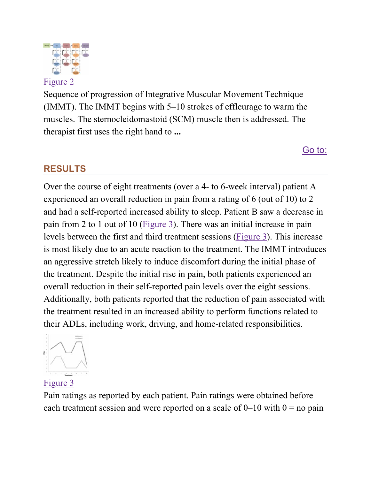

## Figure 2

Sequence of progression of Integrative Muscular Movement Technique (IMMT). The IMMT begins with 5–10 strokes of effleurage to warm the muscles. The sternocleidomastoid (SCM) muscle then is addressed. The therapist first uses the right hand to **...**

Go to:

# **RESULTS**

Over the course of eight treatments (over a 4- to 6-week interval) patient A experienced an overall reduction in pain from a rating of 6 (out of 10) to 2 and had a self-reported increased ability to sleep. Patient B saw a decrease in pain from 2 to 1 out of 10 (Figure 3). There was an initial increase in pain levels between the first and third treatment sessions (Figure 3). This increase is most likely due to an acute reaction to the treatment. The IMMT introduces an aggressive stretch likely to induce discomfort during the initial phase of the treatment. Despite the initial rise in pain, both patients experienced an overall reduction in their self-reported pain levels over the eight sessions. Additionally, both patients reported that the reduction of pain associated with the treatment resulted in an increased ability to perform functions related to their ADLs, including work, driving, and home-related responsibilities.



## Figure 3

Pain ratings as reported by each patient. Pain ratings were obtained before each treatment session and were reported on a scale of  $0-10$  with  $0 =$  no pain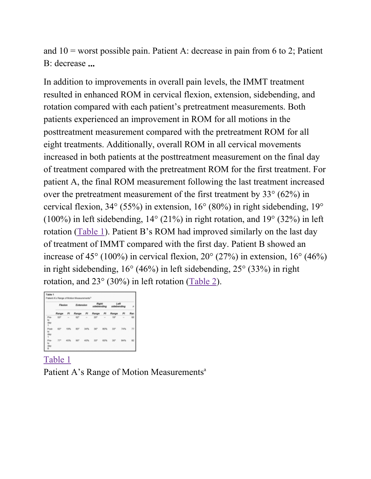and  $10 =$  worst possible pain. Patient A: decrease in pain from 6 to 2; Patient B: decrease **...**

In addition to improvements in overall pain levels, the IMMT treatment resulted in enhanced ROM in cervical flexion, extension, sidebending, and rotation compared with each patient's pretreatment measurements. Both patients experienced an improvement in ROM for all motions in the posttreatment measurement compared with the pretreatment ROM for all eight treatments. Additionally, overall ROM in all cervical movements increased in both patients at the posttreatment measurement on the final day of treatment compared with the pretreatment ROM for the first treatment. For patient A, the final ROM measurement following the last treatment increased over the pretreatment measurement of the first treatment by 33° (62%) in cervical flexion, 34° (55%) in extension, 16° (80%) in right sidebending, 19° (100%) in left sidebending, 14° (21%) in right rotation, and 19° (32%) in left rotation (Table 1). Patient B's ROM had improved similarly on the last day of treatment of IMMT compared with the first day. Patient B showed an increase of 45 $^{\circ}$  (100%) in cervical flexion, 20 $^{\circ}$  (27%) in extension, 16 $^{\circ}$  (46%) in right sidebending, 16° (46%) in left sidebending, 25° (33%) in right rotation, and 23° (30%) in left rotation (Table 2).

|                        | Flexion         |                          | Extension  |                          | Right<br>sidebending |                          | Left<br>sidebending |             |     |
|------------------------|-----------------|--------------------------|------------|--------------------------|----------------------|--------------------------|---------------------|-------------|-----|
|                        | Range           | P1                       | Range      | P1                       | Range                | $P$ V                    | Range               | $_{\rm PV}$ | Ran |
| Pre-<br>tx<br>day<br>1 | 53 <sup>e</sup> | $\overline{\phantom{a}}$ | 63*        | $\overline{\phantom{a}}$ | 20 <sup>4</sup>      | $\overline{\phantom{a}}$ | 19 <sup>e</sup>     | $\sim$      |     |
| Post<br>tx<br>day<br>1 | 63*             | 19%                      |            |                          |                      |                          | 33"                 | 74%         | 77  |
| Pre-<br>tx<br>day<br>8 | 77 <sup>m</sup> | 45%                      | <b>GOP</b> | 45%                      | 33 <sup>o</sup>      | 65%                      | 36*                 | 84%         |     |

## Table 1

Patient A's Range of Motion Measurements<sup>a</sup>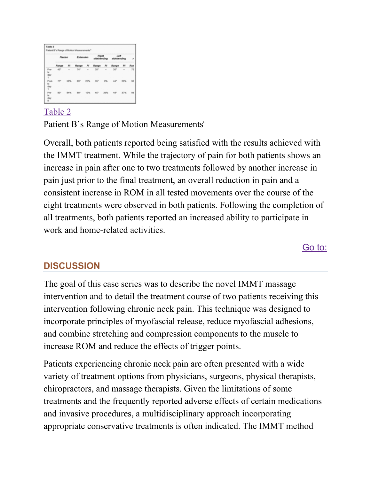|                         | Fiesion         |                          | Extension |        | Right<br>sidebending |        | Left<br>sidebending |                          |     |
|-------------------------|-----------------|--------------------------|-----------|--------|----------------------|--------|---------------------|--------------------------|-----|
|                         | Range           | m                        | Range PI  |        | Range PI             |        | Range               | P1                       | Ran |
| Pre-<br>tx<br>day<br>1  | $45^{\circ}$    | $\overline{\phantom{a}}$ | $74^{4}$  | $\sim$ | 365                  | $\sim$ | 365                 | $\overline{\phantom{a}}$ | 75  |
| Post-<br>tx<br>day<br>1 | T1 <sup>o</sup> | 58%                      | 89'       | 20%    | 36"                  | O%     | 44"                 | 26%                      |     |
| Pre-<br>tx<br>day<br>8  | 83"             | 84%                      | 687       | 19%    | 45*                  | 29%    | 48*                 | 37%                      | 93  |

# Table 2

Patient B's Range of Motion Measurements<sup>a</sup>

Overall, both patients reported being satisfied with the results achieved with the IMMT treatment. While the trajectory of pain for both patients shows an increase in pain after one to two treatments followed by another increase in pain just prior to the final treatment, an overall reduction in pain and a consistent increase in ROM in all tested movements over the course of the eight treatments were observed in both patients. Following the completion of all treatments, both patients reported an increased ability to participate in work and home-related activities.

Go to:

# **DISCUSSION**

The goal of this case series was to describe the novel IMMT massage intervention and to detail the treatment course of two patients receiving this intervention following chronic neck pain. This technique was designed to incorporate principles of myofascial release, reduce myofascial adhesions, and combine stretching and compression components to the muscle to increase ROM and reduce the effects of trigger points.

Patients experiencing chronic neck pain are often presented with a wide variety of treatment options from physicians, surgeons, physical therapists, chiropractors, and massage therapists. Given the limitations of some treatments and the frequently reported adverse effects of certain medications and invasive procedures, a multidisciplinary approach incorporating appropriate conservative treatments is often indicated. The IMMT method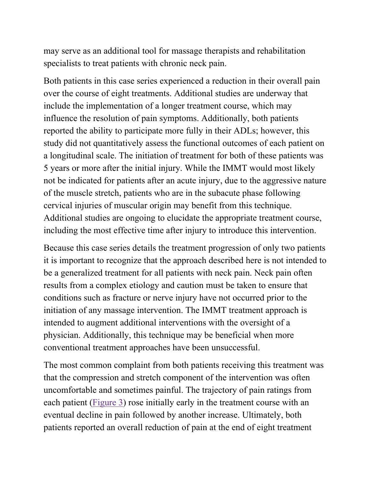may serve as an additional tool for massage therapists and rehabilitation specialists to treat patients with chronic neck pain.

Both patients in this case series experienced a reduction in their overall pain over the course of eight treatments. Additional studies are underway that include the implementation of a longer treatment course, which may influence the resolution of pain symptoms. Additionally, both patients reported the ability to participate more fully in their ADLs; however, this study did not quantitatively assess the functional outcomes of each patient on a longitudinal scale. The initiation of treatment for both of these patients was 5 years or more after the initial injury. While the IMMT would most likely not be indicated for patients after an acute injury, due to the aggressive nature of the muscle stretch, patients who are in the subacute phase following cervical injuries of muscular origin may benefit from this technique. Additional studies are ongoing to elucidate the appropriate treatment course, including the most effective time after injury to introduce this intervention.

Because this case series details the treatment progression of only two patients it is important to recognize that the approach described here is not intended to be a generalized treatment for all patients with neck pain. Neck pain often results from a complex etiology and caution must be taken to ensure that conditions such as fracture or nerve injury have not occurred prior to the initiation of any massage intervention. The IMMT treatment approach is intended to augment additional interventions with the oversight of a physician. Additionally, this technique may be beneficial when more conventional treatment approaches have been unsuccessful.

The most common complaint from both patients receiving this treatment was that the compression and stretch component of the intervention was often uncomfortable and sometimes painful. The trajectory of pain ratings from each patient (Figure 3) rose initially early in the treatment course with an eventual decline in pain followed by another increase. Ultimately, both patients reported an overall reduction of pain at the end of eight treatment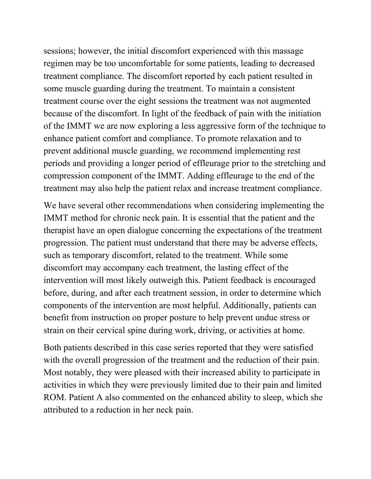sessions; however, the initial discomfort experienced with this massage regimen may be too uncomfortable for some patients, leading to decreased treatment compliance. The discomfort reported by each patient resulted in some muscle guarding during the treatment. To maintain a consistent treatment course over the eight sessions the treatment was not augmented because of the discomfort. In light of the feedback of pain with the initiation of the IMMT we are now exploring a less aggressive form of the technique to enhance patient comfort and compliance. To promote relaxation and to prevent additional muscle guarding, we recommend implementing rest periods and providing a longer period of effleurage prior to the stretching and compression component of the IMMT. Adding effleurage to the end of the treatment may also help the patient relax and increase treatment compliance.

We have several other recommendations when considering implementing the IMMT method for chronic neck pain. It is essential that the patient and the therapist have an open dialogue concerning the expectations of the treatment progression. The patient must understand that there may be adverse effects, such as temporary discomfort, related to the treatment. While some discomfort may accompany each treatment, the lasting effect of the intervention will most likely outweigh this. Patient feedback is encouraged before, during, and after each treatment session, in order to determine which components of the intervention are most helpful. Additionally, patients can benefit from instruction on proper posture to help prevent undue stress or strain on their cervical spine during work, driving, or activities at home.

Both patients described in this case series reported that they were satisfied with the overall progression of the treatment and the reduction of their pain. Most notably, they were pleased with their increased ability to participate in activities in which they were previously limited due to their pain and limited ROM. Patient A also commented on the enhanced ability to sleep, which she attributed to a reduction in her neck pain.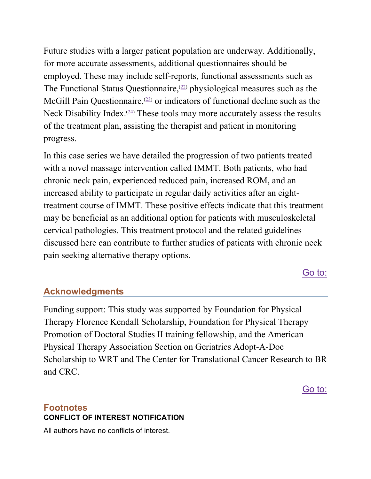Future studies with a larger patient population are underway. Additionally, for more accurate assessments, additional questionnaires should be employed. These may include self-reports, functional assessments such as The Functional Status Questionnaire,  $(22)$  physiological measures such as the McGill Pain Questionnaire,  $(23)$  or indicators of functional decline such as the Neck Disability Index.<sup>(24)</sup> These tools may more accurately assess the results of the treatment plan, assisting the therapist and patient in monitoring progress.

In this case series we have detailed the progression of two patients treated with a novel massage intervention called IMMT. Both patients, who had chronic neck pain, experienced reduced pain, increased ROM, and an increased ability to participate in regular daily activities after an eighttreatment course of IMMT. These positive effects indicate that this treatment may be beneficial as an additional option for patients with musculoskeletal cervical pathologies. This treatment protocol and the related guidelines discussed here can contribute to further studies of patients with chronic neck pain seeking alternative therapy options.

Go to:

# **Acknowledgments**

Funding support: This study was supported by Foundation for Physical Therapy Florence Kendall Scholarship, Foundation for Physical Therapy Promotion of Doctoral Studies II training fellowship, and the American Physical Therapy Association Section on Geriatrics Adopt-A-Doc Scholarship to WRT and The Center for Translational Cancer Research to BR and CRC.

Go to:

### **Footnotes CONFLICT OF INTEREST NOTIFICATION**

All authors have no conflicts of interest.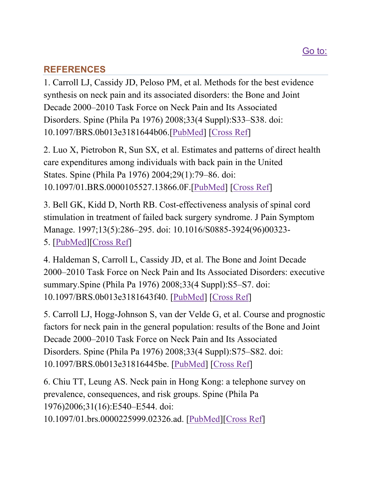# **REFERENCES**

1. Carroll LJ, Cassidy JD, Peloso PM, et al. Methods for the best evidence synthesis on neck pain and its associated disorders: the Bone and Joint Decade 2000–2010 Task Force on Neck Pain and Its Associated Disorders. Spine (Phila Pa 1976) 2008;33(4 Suppl):S33–S38. doi: 10.1097/BRS.0b013e3181644b06.[PubMed] [Cross Ref]

2. Luo X, Pietrobon R, Sun SX, et al. Estimates and patterns of direct health care expenditures among individuals with back pain in the United States. Spine (Phila Pa 1976) 2004;29(1):79–86. doi: 10.1097/01.BRS.0000105527.13866.0F.[PubMed] [Cross Ref]

3. Bell GK, Kidd D, North RB. Cost-effectiveness analysis of spinal cord stimulation in treatment of failed back surgery syndrome. J Pain Symptom Manage. 1997;13(5):286–295. doi: 10.1016/S0885-3924(96)00323- 5. [PubMed][Cross Ref]

4. Haldeman S, Carroll L, Cassidy JD, et al. The Bone and Joint Decade 2000–2010 Task Force on Neck Pain and Its Associated Disorders: executive summary.Spine (Phila Pa 1976) 2008;33(4 Suppl):S5–S7. doi: 10.1097/BRS.0b013e3181643f40. [PubMed] [Cross Ref]

5. Carroll LJ, Hogg-Johnson S, van der Velde G, et al. Course and prognostic factors for neck pain in the general population: results of the Bone and Joint Decade 2000–2010 Task Force on Neck Pain and Its Associated Disorders. Spine (Phila Pa 1976) 2008;33(4 Suppl):S75–S82. doi: 10.1097/BRS.0b013e31816445be. [PubMed] [Cross Ref]

6. Chiu TT, Leung AS. Neck pain in Hong Kong: a telephone survey on prevalence, consequences, and risk groups. Spine (Phila Pa 1976)2006;31(16):E540–E544. doi: 10.1097/01.brs.0000225999.02326.ad. [PubMed][Cross Ref]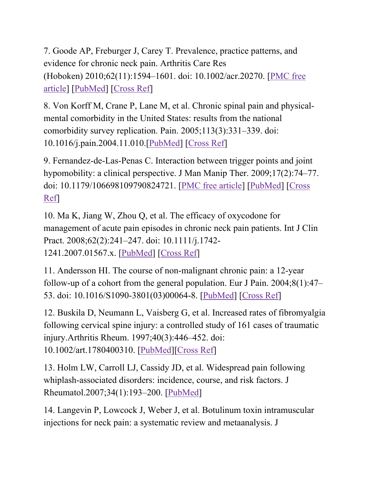7. Goode AP, Freburger J, Carey T. Prevalence, practice patterns, and evidence for chronic neck pain. Arthritis Care Res (Hoboken) 2010;62(11):1594–1601. doi: 10.1002/acr.20270. [PMC free article] [PubMed] [Cross Ref]

8. Von Korff M, Crane P, Lane M, et al. Chronic spinal pain and physicalmental comorbidity in the United States: results from the national comorbidity survey replication. Pain. 2005;113(3):331–339. doi: 10.1016/j.pain.2004.11.010.[PubMed] [Cross Ref]

9. Fernandez-de-Las-Penas C. Interaction between trigger points and joint hypomobility: a clinical perspective. J Man Manip Ther. 2009;17(2):74–77. doi: 10.1179/106698109790824721. [PMC free article] [PubMed] [Cross Ref]

10. Ma K, Jiang W, Zhou Q, et al. The efficacy of oxycodone for management of acute pain episodes in chronic neck pain patients. Int J Clin Pract. 2008;62(2):241–247. doi: 10.1111/j.1742- 1241.2007.01567.x. [PubMed] [Cross Ref]

11. Andersson HI. The course of non-malignant chronic pain: a 12-year follow-up of a cohort from the general population. Eur J Pain. 2004;8(1):47– 53. doi: 10.1016/S1090-3801(03)00064-8. [PubMed] [Cross Ref]

12. Buskila D, Neumann L, Vaisberg G, et al. Increased rates of fibromyalgia following cervical spine injury: a controlled study of 161 cases of traumatic injury.Arthritis Rheum. 1997;40(3):446–452. doi: 10.1002/art.1780400310. [PubMed][Cross Ref]

13. Holm LW, Carroll LJ, Cassidy JD, et al. Widespread pain following whiplash-associated disorders: incidence, course, and risk factors. J Rheumatol.2007;34(1):193–200. [PubMed]

14. Langevin P, Lowcock J, Weber J, et al. Botulinum toxin intramuscular injections for neck pain: a systematic review and metaanalysis. J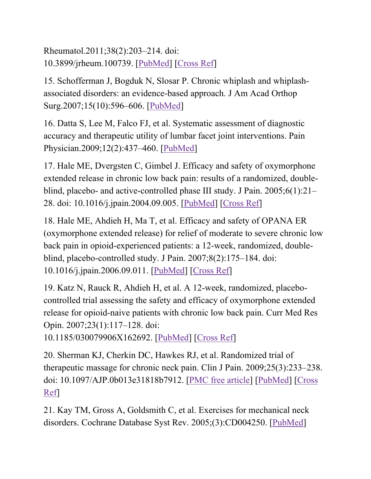Rheumatol.2011;38(2):203–214. doi: 10.3899/jrheum.100739. [PubMed] [Cross Ref]

15. Schofferman J, Bogduk N, Slosar P. Chronic whiplash and whiplashassociated disorders: an evidence-based approach. J Am Acad Orthop Surg.2007;15(10):596–606. [PubMed]

16. Datta S, Lee M, Falco FJ, et al. Systematic assessment of diagnostic accuracy and therapeutic utility of lumbar facet joint interventions. Pain Physician.2009;12(2):437–460. [PubMed]

17. Hale ME, Dvergsten C, Gimbel J. Efficacy and safety of oxymorphone extended release in chronic low back pain: results of a randomized, doubleblind, placebo- and active-controlled phase III study. J Pain. 2005;6(1):21– 28. doi: 10.1016/j.jpain.2004.09.005. [PubMed] [Cross Ref]

18. Hale ME, Ahdieh H, Ma T, et al. Efficacy and safety of OPANA ER (oxymorphone extended release) for relief of moderate to severe chronic low back pain in opioid-experienced patients: a 12-week, randomized, doubleblind, placebo-controlled study. J Pain. 2007;8(2):175–184. doi: 10.1016/j.jpain.2006.09.011. [PubMed] [Cross Ref]

19. Katz N, Rauck R, Ahdieh H, et al. A 12-week, randomized, placebocontrolled trial assessing the safety and efficacy of oxymorphone extended release for opioid-naive patients with chronic low back pain. Curr Med Res Opin. 2007;23(1):117–128. doi:

10.1185/030079906X162692. [PubMed] [Cross Ref]

20. Sherman KJ, Cherkin DC, Hawkes RJ, et al. Randomized trial of therapeutic massage for chronic neck pain. Clin J Pain. 2009;25(3):233–238. doi: 10.1097/AJP.0b013e31818b7912. [PMC free article] [PubMed] [Cross Ref]

21. Kay TM, Gross A, Goldsmith C, et al. Exercises for mechanical neck disorders. Cochrane Database Syst Rev. 2005;(3):CD004250. [PubMed]